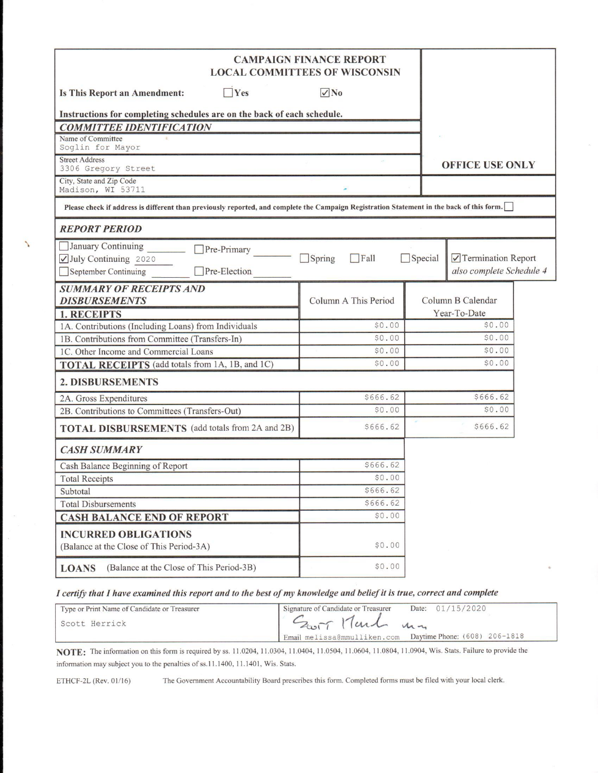|                                                                                                                                           | <b>CAMPAIGN FINANCE REPORT</b><br><b>LOCAL COMMITTEES OF WISCONSIN</b> |                |                                                |  |
|-------------------------------------------------------------------------------------------------------------------------------------------|------------------------------------------------------------------------|----------------|------------------------------------------------|--|
| $\gamma$<br>Is This Report an Amendment:                                                                                                  | $\sqrt{N_0}$                                                           |                |                                                |  |
| Instructions for completing schedules are on the back of each schedule.                                                                   |                                                                        |                |                                                |  |
| <b>COMMITTEE IDENTIFICATION</b>                                                                                                           |                                                                        |                |                                                |  |
| Name of Committee<br>Soglin for Mayor                                                                                                     |                                                                        |                |                                                |  |
| <b>Street Address</b><br>3306 Gregory Street                                                                                              |                                                                        |                | <b>OFFICE USE ONLY</b>                         |  |
| City, State and Zip Code<br>Madison, WI 53711                                                                                             |                                                                        |                |                                                |  |
| Please check if address is different than previously reported, and complete the Campaign Registration Statement in the back of this form. |                                                                        |                |                                                |  |
| <b>REPORT PERIOD</b>                                                                                                                      |                                                                        |                |                                                |  |
| January Continuing<br>Pre-Primary<br>July Continuing 2020<br>September Continuing<br>Pre-Election                                         | $\Box$ Spring<br>$\Box$ Fall                                           | $\Box$ Special | Termination Report<br>also complete Schedule 4 |  |
| <b>SUMMARY OF RECEIPTS AND</b>                                                                                                            |                                                                        |                |                                                |  |
| <b>DISBURSEMENTS</b>                                                                                                                      | Column A This Period                                                   |                | Column B Calendar                              |  |
| <b>1. RECEIPTS</b>                                                                                                                        |                                                                        |                | Year-To-Date                                   |  |
| 1A. Contributions (Including Loans) from Individuals                                                                                      | \$0.00                                                                 |                | \$0.00                                         |  |
| 1B. Contributions from Committee (Transfers-In)                                                                                           | \$0.00                                                                 |                | \$0.00                                         |  |
| 1C. Other Income and Commercial Loans                                                                                                     | \$0.00                                                                 |                | \$0.00                                         |  |
| <b>TOTAL RECEIPTS</b> (add totals from 1A, 1B, and 1C)                                                                                    | \$0.00                                                                 |                | \$0.00                                         |  |
| 2. DISBURSEMENTS                                                                                                                          |                                                                        |                |                                                |  |
| 2A. Gross Expenditures                                                                                                                    | \$666.62                                                               |                | \$666.62                                       |  |
| 2B. Contributions to Committees (Transfers-Out)                                                                                           | \$0.00                                                                 |                | \$0.00                                         |  |
| <b>TOTAL DISBURSEMENTS</b> (add totals from 2A and 2B)                                                                                    | \$666.62                                                               |                | \$666.62                                       |  |
| <b>CASH SUMMARY</b>                                                                                                                       |                                                                        |                |                                                |  |
| Cash Balance Beginning of Report                                                                                                          | \$666.62                                                               |                |                                                |  |
| <b>Total Receipts</b>                                                                                                                     | \$0.00                                                                 |                |                                                |  |
| Subtotal                                                                                                                                  | \$666.62                                                               |                |                                                |  |
| <b>Total Disbursements</b>                                                                                                                | \$666.62                                                               |                |                                                |  |
| <b>CASH BALANCE END OF REPORT</b>                                                                                                         | \$0.00                                                                 |                |                                                |  |
| <b>INCURRED OBLIGATIONS</b><br>(Balance at the Close of This Period-3A)                                                                   | \$0.00                                                                 |                |                                                |  |
| (Balance at the Close of This Period-3B)<br><b>LOANS</b>                                                                                  | \$0.00                                                                 |                |                                                |  |

### I certify that I have examined this report and to the best of my knowledge and belief it is true, correct and complete

| Type or Print Name of Candidate or Treasurer | Date: 01/15/2020<br>Signature of Candidate or Treasurer    |
|----------------------------------------------|------------------------------------------------------------|
| Scott Herrick                                | Zwit Munch mm                                              |
|                                              | Email melissa@mmulliken.com  Daytime Phone: (608) 206-1818 |

NOTE: The information on this form is required by ss. 11.0204, 11.0304, 11.0404, 11.0504, 11.0604, 11.0804, 11.0904, Wis. Stats. Failure to provide the information may subject you to the penalties of ss.11.1400, 11.1401, Wis. Stats.

ETHCF-2L (Rev. 01/16)

╲

The Government Accountability Board prescribes this form. Completed forms must be filed with your local clerk.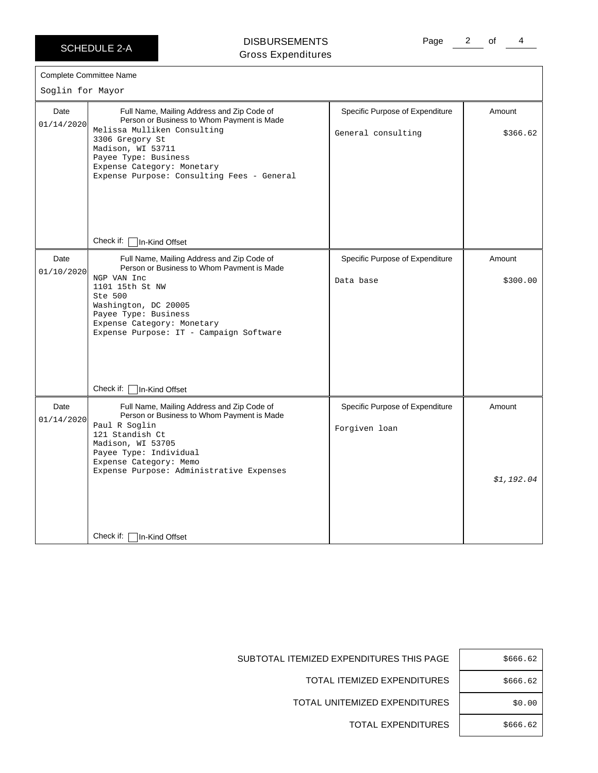SCHEDULE 2-A

## DISBURSEMENTS Gross Expenditures

Page 2 of 4

| Soglin for Mayor   | <b>Complete Committee Name</b>                                                                                                                                                                                                                                                                              |                                                       |                      |
|--------------------|-------------------------------------------------------------------------------------------------------------------------------------------------------------------------------------------------------------------------------------------------------------------------------------------------------------|-------------------------------------------------------|----------------------|
| Date<br>01/14/2020 | Full Name, Mailing Address and Zip Code of<br>Person or Business to Whom Payment is Made<br>Melissa Mulliken Consulting<br>3306 Gregory St<br>Madison, WI 53711<br>Payee Type: Business<br>Expense Category: Monetary<br>Expense Purpose: Consulting Fees - General<br>Check if: $\lceil$<br>In-Kind Offset | Specific Purpose of Expenditure<br>General consulting | Amount<br>\$366.62   |
| Date<br>01/10/2020 | Full Name, Mailing Address and Zip Code of<br>Person or Business to Whom Payment is Made<br>NGP VAN Inc<br>1101 15th St NW<br>Ste 500<br>Washington, DC 20005<br>Payee Type: Business<br>Expense Category: Monetary<br>Expense Purpose: IT - Campaign Software<br>Check if:<br>In-Kind Offset               | Specific Purpose of Expenditure<br>Data base          | Amount<br>\$300.00   |
| Date<br>01/14/2020 | Full Name, Mailing Address and Zip Code of<br>Person or Business to Whom Payment is Made<br>Paul R Soglin<br>121 Standish Ct<br>Madison, WI 53705<br>Payee Type: Individual<br>Expense Category: Memo<br>Expense Purpose: Administrative Expenses<br>Check if:<br>In-Kind Offset                            | Specific Purpose of Expenditure<br>Forgiven loan      | Amount<br>\$1,192.04 |

TOTAL EXPENDITURES | \$666.62

SUBTOTAL ITEMIZED EXPENDITURES THIS PAGE | \$666.62

TOTAL ITEMIZED EXPENDITURES | \$666.62

TOTAL UNITEMIZED EXPENDITURES | \$0.00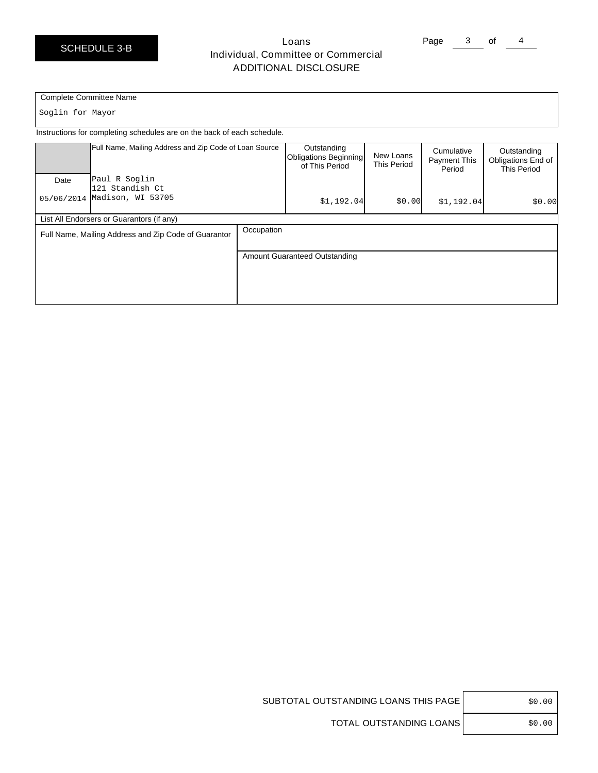# Loans Individual, Committee or Commercial ADDITIONAL DISCLOSURE

Page 3 of 4

#### Complete Committee Name

Soglin for Mayor

Instructions for completing schedules are on the back of each schedule.

|            | Full Name, Mailing Address and Zip Code of Loan Source |            | Outstanding<br>Obligations Beginning<br>of This Period | New Loans<br><b>This Period</b> | Cumulative<br><b>Payment This</b><br>Period | Outstanding<br>Obligations End of<br><b>This Period</b> |
|------------|--------------------------------------------------------|------------|--------------------------------------------------------|---------------------------------|---------------------------------------------|---------------------------------------------------------|
| Date       | Paul R Soglin                                          |            |                                                        |                                 |                                             |                                                         |
| 05/06/2014 | 121 Standish Ct<br>Madison, WI 53705                   |            | \$1,192.04                                             | \$0.00                          | \$1,192.04                                  | \$0.00                                                  |
|            | List All Endorsers or Guarantors (if any)              |            |                                                        |                                 |                                             |                                                         |
|            | Full Name, Mailing Address and Zip Code of Guarantor   | Occupation |                                                        |                                 |                                             |                                                         |
|            |                                                        |            | Amount Guaranteed Outstanding                          |                                 |                                             |                                                         |
|            |                                                        |            |                                                        |                                 |                                             |                                                         |

|  | (1() |
|--|------|
|--|------|

SUBTOTAL OUTSTANDING LOANS THIS PAGE

TOTAL OUTSTANDING LOANS | \$0.00